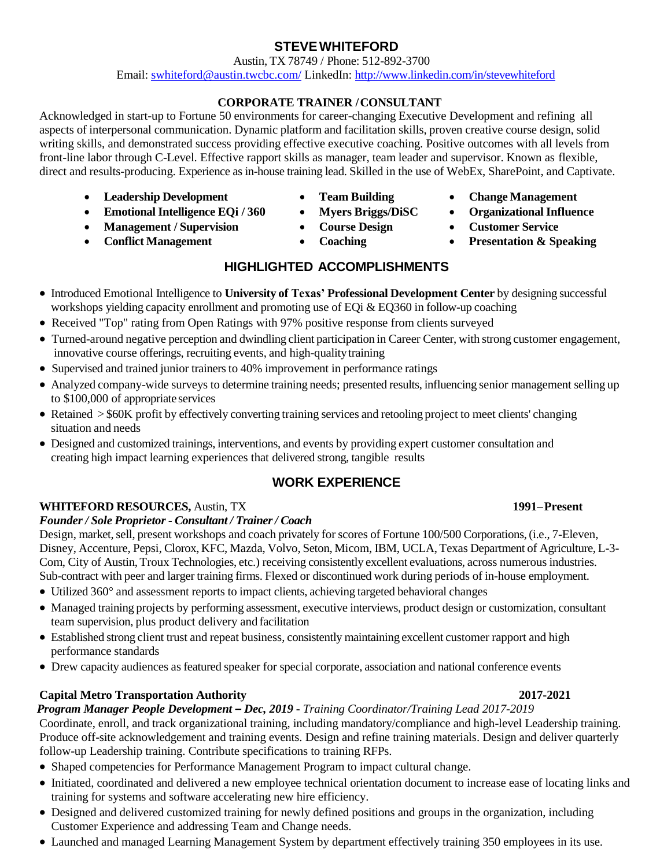### **STEVEWHITEFORD**

 Austin, TX 78749 / Phone: 512-892-3700 Email: [swhiteford@austin.twcbc.com/](mailto:swhiteford@austin.twcbc.com/) LinkedIn:<http://www.linkedin.com/in/stevewhiteford>

### **CORPORATE TRAINER /CONSULTANT**

Acknowledged in start-up to Fortune 50 environments for career-changing Executive Development and refining all aspects of interpersonal communication. Dynamic platform and facilitation skills, proven creative course design, solid writing skills, and demonstrated success providing effective executive coaching. Positive outcomes with all levels from front-line labor through C-Level. Effective rapport skills as manager, team leader and supervisor. Known as flexible, direct and results-producing. Experience as in-house training lead. Skilled in the use of WebEx, SharePoint, and Captivate.

- **Leadership Development Team Building Change Management**
- Emotional Intelligence EQi / 360 Myers Briggs/DiSC Organizational Influence
- **Management / Supervision**
- **Conflict Management**
- 
- 
- **Course Design**
- **Coaching**
- 
- 
- **Customer Service**
- **Presentation & Speaking**

## **HIGHLIGHTED ACCOMPLISHMENTS**

- Introduced Emotional Intelligence to **University of Texas' Professional Development Center** by designing successful workshops yielding capacity enrollment and promoting use of EQi & EQ360 in follow-up coaching
- Received "Top" rating from Open Ratings with 97% positive response from clients surveyed
- Turned-around negative perception and dwindling client participation in Career Center, with strong customer engagement, innovative course offerings, recruiting events, and high-qualitytraining
- Supervised and trained junior trainers to 40% improvement in performance ratings
- Analyzed company-wide surveys to determine training needs; presented results, influencing senior management selling up to \$100,000 of appropriate services
- Retained > \$60K profit by effectively converting training services and retooling project to meet clients' changing situation and needs
- Designed and customized trainings, interventions, and events by providing expert customer consultation and creating high impact learning experiences that delivered strong, tangible results

## **WORK EXPERIENCE**

## **WHITEFORD RESOURCES,** Austin, TX **1991–Present**

### *Founder / Sole Proprietor - Consultant / Trainer/ Coach*

Design, market, sell, present workshops and coach privately for scores of Fortune 100/500 Corporations, (i.e., 7-Eleven, Disney, Accenture, Pepsi, Clorox, KFC, Mazda, Volvo, Seton, Micom, IBM, UCLA, Texas Department of Agriculture, L-3- Com, City of Austin, Troux Technologies, etc.) receiving consistently excellent evaluations, across numerous industries. Sub-contract with peer and larger training firms. Flexed or discontinued work during periods of in-house employment.

- Utilized 360° and assessment reports to impact clients, achieving targeted behavioral changes
- Managed training projects by performing assessment, executive interviews, product design or customization, consultant team supervision, plus product delivery and facilitation
- Established strong client trust and repeat business, consistently maintaining excellent customer rapport and high performance standards
- Drew capacity audiences as featured speaker for special corporate, association and national conference events

### **Capital Metro Transportation Authority 2017-2021**

### *Program Manager People Development – Dec, 2019* **-** *Training Coordinator/Training Lead 2017-2019*

Coordinate, enroll, and track organizational training, including mandatory/compliance and high-level Leadership training. Produce off-site acknowledgement and training events. Design and refine training materials. Design and deliver quarterly follow-up Leadership training. Contribute specifications to training RFPs.

- Shaped competencies for Performance Management Program to impact cultural change.
- Initiated, coordinated and delivered a new employee technical orientation document to increase ease of locating links and training for systems and software accelerating new hire efficiency.
- Designed and delivered customized training for newly defined positions and groups in the organization, including Customer Experience and addressing Team and Change needs.
- Launched and managed Learning Management System by department effectively training 350 employees in its use.